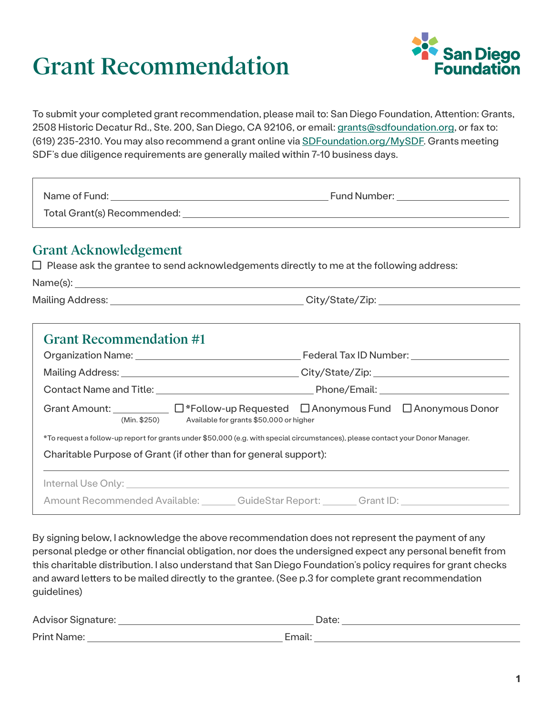## Grant Recommendation



To submit your completed grant recommendation, please mail to: San Diego Foundation, Attention: Grants, 2508 Historic Decatur Rd., Ste. 200, San Diego, CA 92106, or email: [grants@sdfoundation.org](mailto:grants%40sdfoundation.org?subject=), or fax to: (619) 235-2310. You may also recommend a grant online via [SDFoundation.org/MySDF](http://www.sdfoundation.org/mysdf). Grants meeting SDF's due diligence requirements are generally mailed within 7-10 business days.

| Name of Fund:               | Fund Number: |
|-----------------------------|--------------|
| Total Grant(s) Recommended: |              |

## Grant Acknowledgement

 $\Box$  Please ask the grantee to send acknowledgements directly to me at the following address:

| Name(s):         |                 |
|------------------|-----------------|
| Mailing Address: | City/State/Zip: |

| <b>Grant Recommendation #1</b>                                                                                                                                                                     | Federal Tax ID Number: _____________________ |  |
|----------------------------------------------------------------------------------------------------------------------------------------------------------------------------------------------------|----------------------------------------------|--|
|                                                                                                                                                                                                    |                                              |  |
|                                                                                                                                                                                                    |                                              |  |
| Grant Amount: _____________ □*Follow-up Requested □ Anonymous Fund □ Anonymous Donor<br>(Min. \$250) Available for grants \$50,000 or higher                                                       |                                              |  |
| *To request a follow-up report for grants under \$50,000 (e.g. with special circumstances), please contact your Donor Manager.<br>Charitable Purpose of Grant (if other than for general support): |                                              |  |
| Amount Recommended Available: ________ GuideStar Report: ________ Grant ID: ________________________                                                                                               |                                              |  |

By signing below, I acknowledge the above recommendation does not represent the payment of any personal pledge or other financial obligation, nor does the undersigned expect any personal benefit from this charitable distribution. I also understand that San Diego Foundation's policy requires for grant checks and award letters to be mailed directly to the grantee. (See p.3 for complete grant recommendation guidelines)

| Advisor Signature: |        |
|--------------------|--------|
| <b>Print Name:</b> | Email. |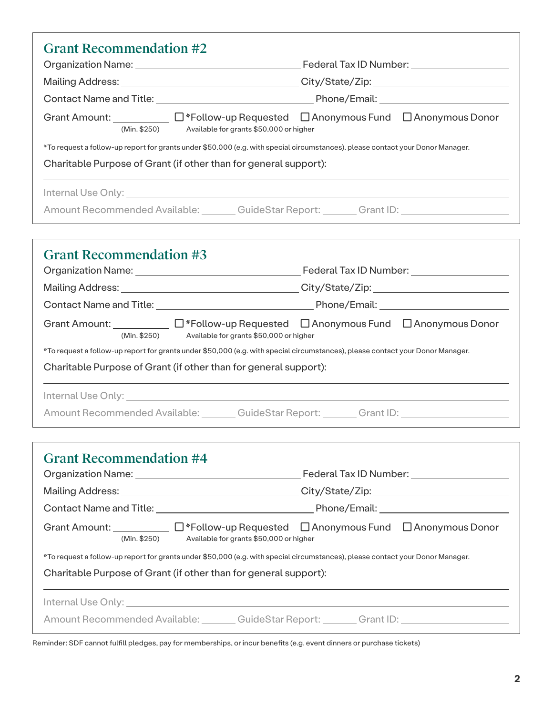| <b>Grant Recommendation #2</b>                                                                                                                                                                                                                                                         |  |  |
|----------------------------------------------------------------------------------------------------------------------------------------------------------------------------------------------------------------------------------------------------------------------------------------|--|--|
|                                                                                                                                                                                                                                                                                        |  |  |
|                                                                                                                                                                                                                                                                                        |  |  |
|                                                                                                                                                                                                                                                                                        |  |  |
| Grant Amount: _____________ $\Box$ *Follow-up Requested $\Box$ Anonymous Fund $\Box$ Anonymous Donor<br>(Min. \$250) Available for grants \$50,000 or higher                                                                                                                           |  |  |
| *To request a follow-up report for grants under \$50,000 (e.g. with special circumstances), please contact your Donor Manager.                                                                                                                                                         |  |  |
| Charitable Purpose of Grant (if other than for general support):                                                                                                                                                                                                                       |  |  |
|                                                                                                                                                                                                                                                                                        |  |  |
| Amount Recommended Available: Cambridge Coulde Star Report: Cambridge Crant ID:                                                                                                                                                                                                        |  |  |
|                                                                                                                                                                                                                                                                                        |  |  |
| <b>Grant Recommendation #3</b>                                                                                                                                                                                                                                                         |  |  |
|                                                                                                                                                                                                                                                                                        |  |  |
|                                                                                                                                                                                                                                                                                        |  |  |
|                                                                                                                                                                                                                                                                                        |  |  |
| Grant Amount:<br>Grant Amount:  Grant Amount:  Grant Amount:  Composity Contract Contract Contract Contract Contract Contract Contract Contract Contract Contract Contract Contract Contract Contract Contract Contract Contra<br>(Min. \$250) Available for grants \$50,000 or higher |  |  |
| *To request a follow-up report for grants under \$50,000 (e.g. with special circumstances), please contact your Donor Manager.<br>Charitable Purpose of Grant (if other than for general support):                                                                                     |  |  |
|                                                                                                                                                                                                                                                                                        |  |  |
| Internal Use Only: with the contract of the contract of the contract of the contract of the contract of the contract of the contract of the contract of the contract of the contract of the contract of the contract of the co                                                         |  |  |
| Amount Recommended Available: GuideStar Report: Grant ID:                                                                                                                                                                                                                              |  |  |
|                                                                                                                                                                                                                                                                                        |  |  |
| <b>Grant Recommendation #4</b>                                                                                                                                                                                                                                                         |  |  |
|                                                                                                                                                                                                                                                                                        |  |  |
| Mailing Address: Mailing Address: Mailing Address: Mailing Address: Mailing Address: Mailing Address: Mailing Support of the Mailing Support of the Mailing Support of the Mailing Support of the Mailing Support of the Maili                                                         |  |  |
|                                                                                                                                                                                                                                                                                        |  |  |
| Grant Amount:<br>Grant Amount:  Grant Amount:  Grant Amount:  Composity Contract Contract Contract Contract Contract Contract Contract Contract Contract Contract Contract Contract Contract Contract Contract Contract Contra<br>(Min. \$250) Available for grants \$50,000 or higher |  |  |
| *To request a follow-up report for grants under \$50,000 (e.g. with special circumstances), please contact your Donor Manager.                                                                                                                                                         |  |  |
| Charitable Purpose of Grant (if other than for general support):                                                                                                                                                                                                                       |  |  |
| Internal Use Only: <u>Alexander State of Australian Control Control Control Control Control Control Control Control Control Control Control Control Control Control Control Control Control Control Control Control Control Cont</u>                                                   |  |  |
| Amount Recommended Available: GuideStar Report: Grant ID: Grant ID:                                                                                                                                                                                                                    |  |  |

Reminder: SDF cannot fulfill pledges, pay for memberships, or incur benefits (e.g. event dinners or purchase tickets)